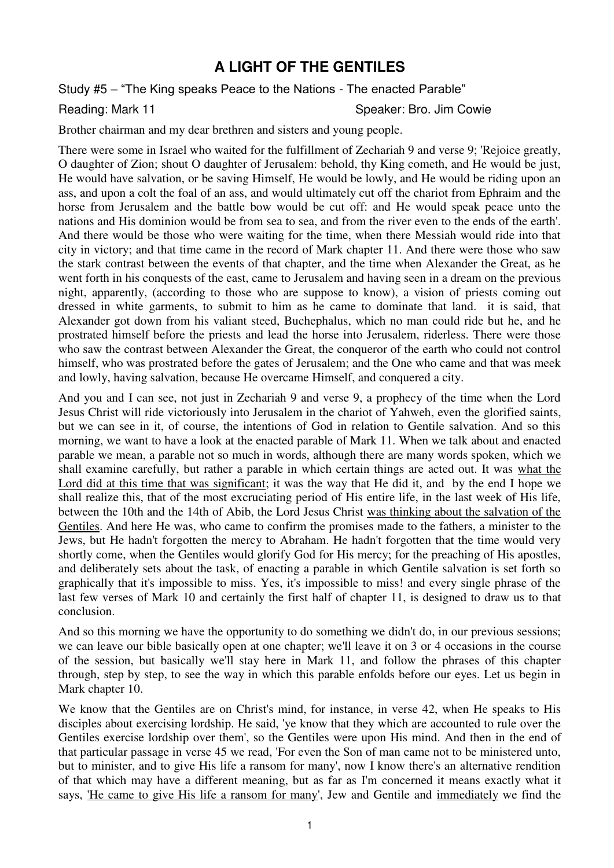## **A LIGHT OF THE GENTILES**

Study #5 – "The King speaks Peace to the Nations - The enacted Parable"

Reading: Mark 11 Speaker: Bro. Jim Cowie

Brother chairman and my dear brethren and sisters and young people.

There were some in Israel who waited for the fulfillment of Zechariah 9 and verse 9; 'Rejoice greatly, O daughter of Zion; shout O daughter of Jerusalem: behold, thy King cometh, and He would be just, He would have salvation, or be saving Himself, He would be lowly, and He would be riding upon an ass, and upon a colt the foal of an ass, and would ultimately cut off the chariot from Ephraim and the horse from Jerusalem and the battle bow would be cut off: and He would speak peace unto the nations and His dominion would be from sea to sea, and from the river even to the ends of the earth'. And there would be those who were waiting for the time, when there Messiah would ride into that city in victory; and that time came in the record of Mark chapter 11. And there were those who saw the stark contrast between the events of that chapter, and the time when Alexander the Great, as he went forth in his conquests of the east, came to Jerusalem and having seen in a dream on the previous night, apparently, (according to those who are suppose to know), a vision of priests coming out dressed in white garments, to submit to him as he came to dominate that land. it is said, that Alexander got down from his valiant steed, Buchephalus, which no man could ride but he, and he prostrated himself before the priests and lead the horse into Jerusalem, riderless. There were those who saw the contrast between Alexander the Great, the conqueror of the earth who could not control himself, who was prostrated before the gates of Jerusalem; and the One who came and that was meek and lowly, having salvation, because He overcame Himself, and conquered a city.

And you and I can see, not just in Zechariah 9 and verse 9, a prophecy of the time when the Lord Jesus Christ will ride victoriously into Jerusalem in the chariot of Yahweh, even the glorified saints, but we can see in it, of course, the intentions of God in relation to Gentile salvation. And so this morning, we want to have a look at the enacted parable of Mark 11. When we talk about and enacted parable we mean, a parable not so much in words, although there are many words spoken, which we shall examine carefully, but rather a parable in which certain things are acted out. It was what the Lord did at this time that was significant; it was the way that He did it, and by the end I hope we shall realize this, that of the most excruciating period of His entire life, in the last week of His life, between the 10th and the 14th of Abib, the Lord Jesus Christ was thinking about the salvation of the Gentiles. And here He was, who came to confirm the promises made to the fathers, a minister to the Jews, but He hadn't forgotten the mercy to Abraham. He hadn't forgotten that the time would very shortly come, when the Gentiles would glorify God for His mercy; for the preaching of His apostles, and deliberately sets about the task, of enacting a parable in which Gentile salvation is set forth so graphically that it's impossible to miss. Yes, it's impossible to miss! and every single phrase of the last few verses of Mark 10 and certainly the first half of chapter 11, is designed to draw us to that conclusion.

And so this morning we have the opportunity to do something we didn't do, in our previous sessions; we can leave our bible basically open at one chapter; we'll leave it on 3 or 4 occasions in the course of the session, but basically we'll stay here in Mark 11, and follow the phrases of this chapter through, step by step, to see the way in which this parable enfolds before our eyes. Let us begin in Mark chapter 10.

We know that the Gentiles are on Christ's mind, for instance, in verse 42, when He speaks to His disciples about exercising lordship. He said, 'ye know that they which are accounted to rule over the Gentiles exercise lordship over them', so the Gentiles were upon His mind. And then in the end of that particular passage in verse 45 we read, 'For even the Son of man came not to be ministered unto, but to minister, and to give His life a ransom for many', now I know there's an alternative rendition of that which may have a different meaning, but as far as I'm concerned it means exactly what it says, 'He came to give His life a ransom for many', Jew and Gentile and immediately we find the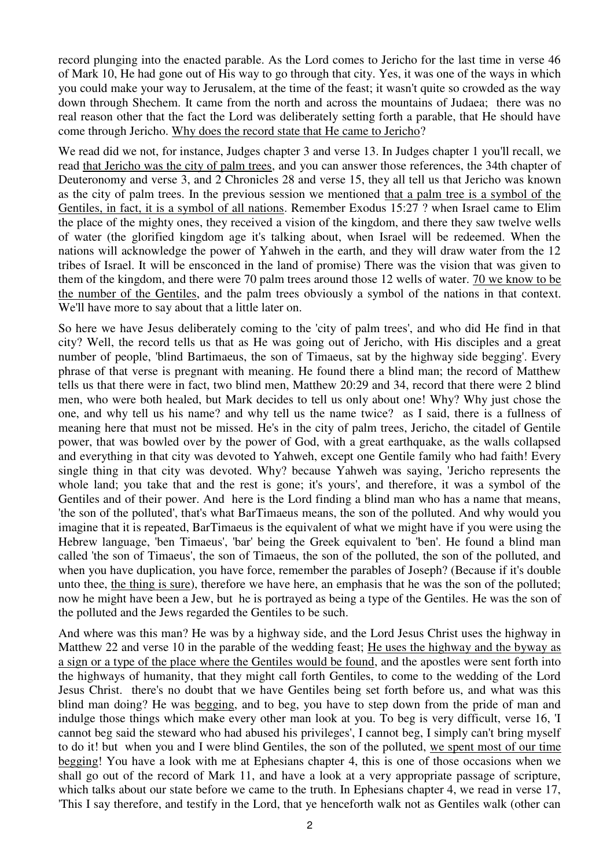record plunging into the enacted parable. As the Lord comes to Jericho for the last time in verse 46 of Mark 10, He had gone out of His way to go through that city. Yes, it was one of the ways in which you could make your way to Jerusalem, at the time of the feast; it wasn't quite so crowded as the way down through Shechem. It came from the north and across the mountains of Judaea; there was no real reason other that the fact the Lord was deliberately setting forth a parable, that He should have come through Jericho. Why does the record state that He came to Jericho?

We read did we not, for instance, Judges chapter 3 and verse 13. In Judges chapter 1 you'll recall, we read that Jericho was the city of palm trees, and you can answer those references, the 34th chapter of Deuteronomy and verse 3, and 2 Chronicles 28 and verse 15, they all tell us that Jericho was known as the city of palm trees. In the previous session we mentioned that a palm tree is a symbol of the Gentiles, in fact, it is a symbol of all nations. Remember Exodus 15:27 ? when Israel came to Elim the place of the mighty ones, they received a vision of the kingdom, and there they saw twelve wells of water (the glorified kingdom age it's talking about, when Israel will be redeemed. When the nations will acknowledge the power of Yahweh in the earth, and they will draw water from the 12 tribes of Israel. It will be ensconced in the land of promise) There was the vision that was given to them of the kingdom, and there were 70 palm trees around those 12 wells of water. 70 we know to be the number of the Gentiles, and the palm trees obviously a symbol of the nations in that context. We'll have more to say about that a little later on.

So here we have Jesus deliberately coming to the 'city of palm trees', and who did He find in that city? Well, the record tells us that as He was going out of Jericho, with His disciples and a great number of people, 'blind Bartimaeus, the son of Timaeus, sat by the highway side begging'. Every phrase of that verse is pregnant with meaning. He found there a blind man; the record of Matthew tells us that there were in fact, two blind men, Matthew 20:29 and 34, record that there were 2 blind men, who were both healed, but Mark decides to tell us only about one! Why? Why just chose the one, and why tell us his name? and why tell us the name twice? as I said, there is a fullness of meaning here that must not be missed. He's in the city of palm trees, Jericho, the citadel of Gentile power, that was bowled over by the power of God, with a great earthquake, as the walls collapsed and everything in that city was devoted to Yahweh, except one Gentile family who had faith! Every single thing in that city was devoted. Why? because Yahweh was saying, 'Jericho represents the whole land; you take that and the rest is gone; it's yours', and therefore, it was a symbol of the Gentiles and of their power. And here is the Lord finding a blind man who has a name that means, 'the son of the polluted', that's what BarTimaeus means, the son of the polluted. And why would you imagine that it is repeated, BarTimaeus is the equivalent of what we might have if you were using the Hebrew language, 'ben Timaeus', 'bar' being the Greek equivalent to 'ben'. He found a blind man called 'the son of Timaeus', the son of Timaeus, the son of the polluted, the son of the polluted, and when you have duplication, you have force, remember the parables of Joseph? (Because if it's double unto thee, the thing is sure), therefore we have here, an emphasis that he was the son of the polluted; now he might have been a Jew, but he is portrayed as being a type of the Gentiles. He was the son of the polluted and the Jews regarded the Gentiles to be such.

And where was this man? He was by a highway side, and the Lord Jesus Christ uses the highway in Matthew 22 and verse 10 in the parable of the wedding feast; He uses the highway and the byway as a sign or a type of the place where the Gentiles would be found, and the apostles were sent forth into the highways of humanity, that they might call forth Gentiles, to come to the wedding of the Lord Jesus Christ. there's no doubt that we have Gentiles being set forth before us, and what was this blind man doing? He was begging, and to beg, you have to step down from the pride of man and indulge those things which make every other man look at you. To beg is very difficult, verse 16, 'I cannot beg said the steward who had abused his privileges', I cannot beg, I simply can't bring myself to do it! but when you and I were blind Gentiles, the son of the polluted, we spent most of our time begging! You have a look with me at Ephesians chapter 4, this is one of those occasions when we shall go out of the record of Mark 11, and have a look at a very appropriate passage of scripture, which talks about our state before we came to the truth. In Ephesians chapter 4, we read in verse 17, 'This I say therefore, and testify in the Lord, that ye henceforth walk not as Gentiles walk (other can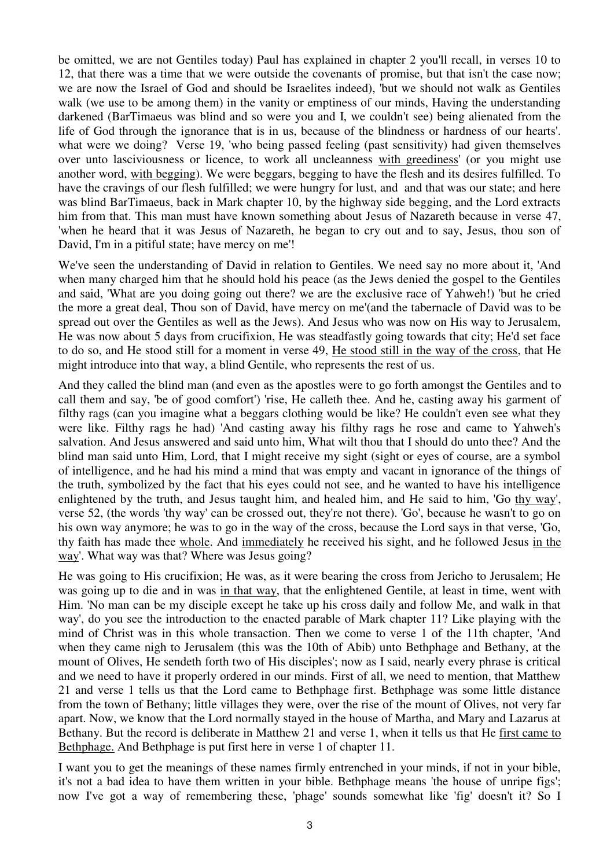be omitted, we are not Gentiles today) Paul has explained in chapter 2 you'll recall, in verses 10 to 12, that there was a time that we were outside the covenants of promise, but that isn't the case now; we are now the Israel of God and should be Israelites indeed), 'but we should not walk as Gentiles walk (we use to be among them) in the vanity or emptiness of our minds, Having the understanding darkened (BarTimaeus was blind and so were you and I, we couldn't see) being alienated from the life of God through the ignorance that is in us, because of the blindness or hardness of our hearts'. what were we doing? Verse 19, 'who being passed feeling (past sensitivity) had given themselves over unto lasciviousness or licence, to work all uncleanness with greediness' (or you might use another word, with begging). We were beggars, begging to have the flesh and its desires fulfilled. To have the cravings of our flesh fulfilled; we were hungry for lust, and and that was our state; and here was blind BarTimaeus, back in Mark chapter 10, by the highway side begging, and the Lord extracts him from that. This man must have known something about Jesus of Nazareth because in verse 47, 'when he heard that it was Jesus of Nazareth, he began to cry out and to say, Jesus, thou son of David, I'm in a pitiful state; have mercy on me'!

We've seen the understanding of David in relation to Gentiles. We need say no more about it, 'And when many charged him that he should hold his peace (as the Jews denied the gospel to the Gentiles and said, 'What are you doing going out there? we are the exclusive race of Yahweh!) 'but he cried the more a great deal, Thou son of David, have mercy on me'(and the tabernacle of David was to be spread out over the Gentiles as well as the Jews). And Jesus who was now on His way to Jerusalem, He was now about 5 days from crucifixion, He was steadfastly going towards that city; He'd set face to do so, and He stood still for a moment in verse 49, He stood still in the way of the cross, that He might introduce into that way, a blind Gentile, who represents the rest of us.

And they called the blind man (and even as the apostles were to go forth amongst the Gentiles and to call them and say, 'be of good comfort') 'rise, He calleth thee. And he, casting away his garment of filthy rags (can you imagine what a beggars clothing would be like? He couldn't even see what they were like. Filthy rags he had) 'And casting away his filthy rags he rose and came to Yahweh's salvation. And Jesus answered and said unto him, What wilt thou that I should do unto thee? And the blind man said unto Him, Lord, that I might receive my sight (sight or eyes of course, are a symbol of intelligence, and he had his mind a mind that was empty and vacant in ignorance of the things of the truth, symbolized by the fact that his eyes could not see, and he wanted to have his intelligence enlightened by the truth, and Jesus taught him, and healed him, and He said to him, 'Go thy way', verse 52, (the words 'thy way' can be crossed out, they're not there). 'Go', because he wasn't to go on his own way anymore; he was to go in the way of the cross, because the Lord says in that verse, 'Go, thy faith has made thee whole. And immediately he received his sight, and he followed Jesus in the way'. What way was that? Where was Jesus going?

He was going to His crucifixion; He was, as it were bearing the cross from Jericho to Jerusalem; He was going up to die and in was in that way, that the enlightened Gentile, at least in time, went with Him. 'No man can be my disciple except he take up his cross daily and follow Me, and walk in that way', do you see the introduction to the enacted parable of Mark chapter 11? Like playing with the mind of Christ was in this whole transaction. Then we come to verse 1 of the 11th chapter, 'And when they came nigh to Jerusalem (this was the 10th of Abib) unto Bethphage and Bethany, at the mount of Olives, He sendeth forth two of His disciples'; now as I said, nearly every phrase is critical and we need to have it properly ordered in our minds. First of all, we need to mention, that Matthew 21 and verse 1 tells us that the Lord came to Bethphage first. Bethphage was some little distance from the town of Bethany; little villages they were, over the rise of the mount of Olives, not very far apart. Now, we know that the Lord normally stayed in the house of Martha, and Mary and Lazarus at Bethany. But the record is deliberate in Matthew 21 and verse 1, when it tells us that He first came to Bethphage. And Bethphage is put first here in verse 1 of chapter 11.

I want you to get the meanings of these names firmly entrenched in your minds, if not in your bible, it's not a bad idea to have them written in your bible. Bethphage means 'the house of unripe figs'; now I've got a way of remembering these, 'phage' sounds somewhat like 'fig' doesn't it? So I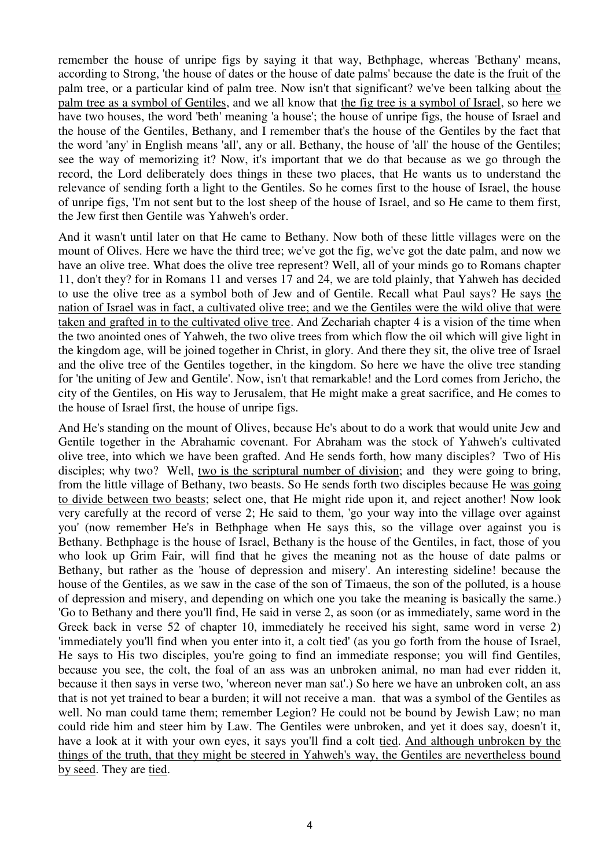remember the house of unripe figs by saying it that way, Bethphage, whereas 'Bethany' means, according to Strong, 'the house of dates or the house of date palms' because the date is the fruit of the palm tree, or a particular kind of palm tree. Now isn't that significant? we've been talking about the palm tree as a symbol of Gentiles, and we all know that the fig tree is a symbol of Israel, so here we have two houses, the word 'beth' meaning 'a house'; the house of unripe figs, the house of Israel and the house of the Gentiles, Bethany, and I remember that's the house of the Gentiles by the fact that the word 'any' in English means 'all', any or all. Bethany, the house of 'all' the house of the Gentiles; see the way of memorizing it? Now, it's important that we do that because as we go through the record, the Lord deliberately does things in these two places, that He wants us to understand the relevance of sending forth a light to the Gentiles. So he comes first to the house of Israel, the house of unripe figs, 'I'm not sent but to the lost sheep of the house of Israel, and so He came to them first, the Jew first then Gentile was Yahweh's order.

And it wasn't until later on that He came to Bethany. Now both of these little villages were on the mount of Olives. Here we have the third tree; we've got the fig, we've got the date palm, and now we have an olive tree. What does the olive tree represent? Well, all of your minds go to Romans chapter 11, don't they? for in Romans 11 and verses 17 and 24, we are told plainly, that Yahweh has decided to use the olive tree as a symbol both of Jew and of Gentile. Recall what Paul says? He says the nation of Israel was in fact, a cultivated olive tree; and we the Gentiles were the wild olive that were taken and grafted in to the cultivated olive tree. And Zechariah chapter 4 is a vision of the time when the two anointed ones of Yahweh, the two olive trees from which flow the oil which will give light in the kingdom age, will be joined together in Christ, in glory. And there they sit, the olive tree of Israel and the olive tree of the Gentiles together, in the kingdom. So here we have the olive tree standing for 'the uniting of Jew and Gentile'. Now, isn't that remarkable! and the Lord comes from Jericho, the city of the Gentiles, on His way to Jerusalem, that He might make a great sacrifice, and He comes to the house of Israel first, the house of unripe figs.

And He's standing on the mount of Olives, because He's about to do a work that would unite Jew and Gentile together in the Abrahamic covenant. For Abraham was the stock of Yahweh's cultivated olive tree, into which we have been grafted. And He sends forth, how many disciples? Two of His disciples; why two? Well, two is the scriptural number of division; and they were going to bring, from the little village of Bethany, two beasts. So He sends forth two disciples because He was going to divide between two beasts; select one, that He might ride upon it, and reject another! Now look very carefully at the record of verse 2; He said to them, 'go your way into the village over against you' (now remember He's in Bethphage when He says this, so the village over against you is Bethany. Bethphage is the house of Israel, Bethany is the house of the Gentiles, in fact, those of you who look up Grim Fair, will find that he gives the meaning not as the house of date palms or Bethany, but rather as the 'house of depression and misery'. An interesting sideline! because the house of the Gentiles, as we saw in the case of the son of Timaeus, the son of the polluted, is a house of depression and misery, and depending on which one you take the meaning is basically the same.) 'Go to Bethany and there you'll find, He said in verse 2, as soon (or as immediately, same word in the Greek back in verse 52 of chapter 10, immediately he received his sight, same word in verse 2) 'immediately you'll find when you enter into it, a colt tied' (as you go forth from the house of Israel, He says to His two disciples, you're going to find an immediate response; you will find Gentiles, because you see, the colt, the foal of an ass was an unbroken animal, no man had ever ridden it, because it then says in verse two, 'whereon never man sat'.) So here we have an unbroken colt, an ass that is not yet trained to bear a burden; it will not receive a man. that was a symbol of the Gentiles as well. No man could tame them; remember Legion? He could not be bound by Jewish Law; no man could ride him and steer him by Law. The Gentiles were unbroken, and yet it does say, doesn't it, have a look at it with your own eyes, it says you'll find a colt tied. And although unbroken by the things of the truth, that they might be steered in Yahweh's way, the Gentiles are nevertheless bound by seed. They are tied.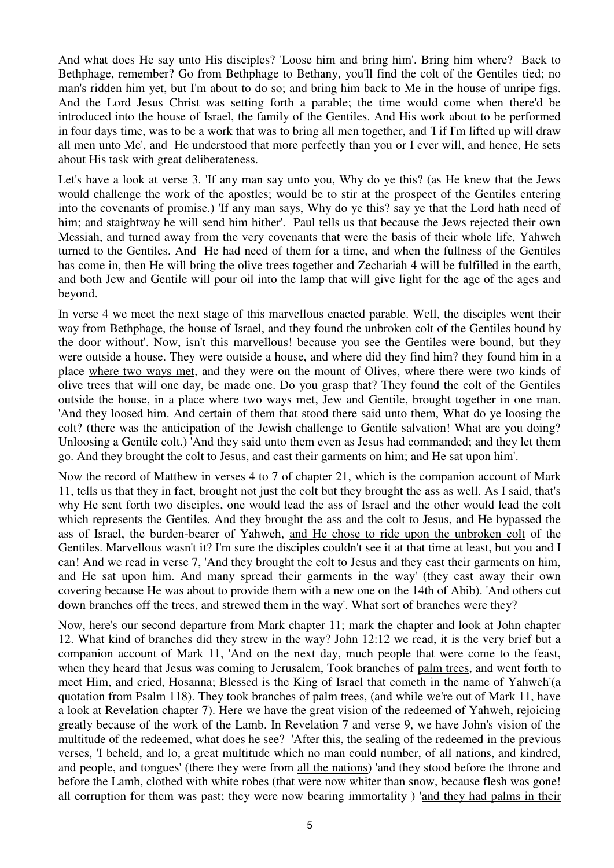And what does He say unto His disciples? 'Loose him and bring him'. Bring him where? Back to Bethphage, remember? Go from Bethphage to Bethany, you'll find the colt of the Gentiles tied; no man's ridden him yet, but I'm about to do so; and bring him back to Me in the house of unripe figs. And the Lord Jesus Christ was setting forth a parable; the time would come when there'd be introduced into the house of Israel, the family of the Gentiles. And His work about to be performed in four days time, was to be a work that was to bring all men together, and 'I if I'm lifted up will draw all men unto Me', and He understood that more perfectly than you or I ever will, and hence, He sets about His task with great deliberateness.

Let's have a look at verse 3. 'If any man say unto you, Why do ye this? (as He knew that the Jews would challenge the work of the apostles; would be to stir at the prospect of the Gentiles entering into the covenants of promise.) 'If any man says, Why do ye this? say ye that the Lord hath need of him; and staightway he will send him hither'. Paul tells us that because the Jews rejected their own Messiah, and turned away from the very covenants that were the basis of their whole life, Yahweh turned to the Gentiles. And He had need of them for a time, and when the fullness of the Gentiles has come in, then He will bring the olive trees together and Zechariah 4 will be fulfilled in the earth, and both Jew and Gentile will pour oil into the lamp that will give light for the age of the ages and beyond.

In verse 4 we meet the next stage of this marvellous enacted parable. Well, the disciples went their way from Bethphage, the house of Israel, and they found the unbroken colt of the Gentiles bound by the door without'. Now, isn't this marvellous! because you see the Gentiles were bound, but they were outside a house. They were outside a house, and where did they find him? they found him in a place where two ways met, and they were on the mount of Olives, where there were two kinds of olive trees that will one day, be made one. Do you grasp that? They found the colt of the Gentiles outside the house, in a place where two ways met, Jew and Gentile, brought together in one man. 'And they loosed him. And certain of them that stood there said unto them, What do ye loosing the colt? (there was the anticipation of the Jewish challenge to Gentile salvation! What are you doing? Unloosing a Gentile colt.) 'And they said unto them even as Jesus had commanded; and they let them go. And they brought the colt to Jesus, and cast their garments on him; and He sat upon him'.

Now the record of Matthew in verses 4 to 7 of chapter 21, which is the companion account of Mark 11, tells us that they in fact, brought not just the colt but they brought the ass as well. As I said, that's why He sent forth two disciples, one would lead the ass of Israel and the other would lead the colt which represents the Gentiles. And they brought the ass and the colt to Jesus, and He bypassed the ass of Israel, the burden-bearer of Yahweh, and He chose to ride upon the unbroken colt of the Gentiles. Marvellous wasn't it? I'm sure the disciples couldn't see it at that time at least, but you and I can! And we read in verse 7, 'And they brought the colt to Jesus and they cast their garments on him, and He sat upon him. And many spread their garments in the way' (they cast away their own covering because He was about to provide them with a new one on the 14th of Abib). 'And others cut down branches off the trees, and strewed them in the way'. What sort of branches were they?

Now, here's our second departure from Mark chapter 11; mark the chapter and look at John chapter 12. What kind of branches did they strew in the way? John 12:12 we read, it is the very brief but a companion account of Mark 11, 'And on the next day, much people that were come to the feast, when they heard that Jesus was coming to Jerusalem, Took branches of palm trees, and went forth to meet Him, and cried, Hosanna; Blessed is the King of Israel that cometh in the name of Yahweh'(a quotation from Psalm 118). They took branches of palm trees, (and while we're out of Mark 11, have a look at Revelation chapter 7). Here we have the great vision of the redeemed of Yahweh, rejoicing greatly because of the work of the Lamb. In Revelation 7 and verse 9, we have John's vision of the multitude of the redeemed, what does he see? 'After this, the sealing of the redeemed in the previous verses, 'I beheld, and lo, a great multitude which no man could number, of all nations, and kindred, and people, and tongues' (there they were from all the nations) 'and they stood before the throne and before the Lamb, clothed with white robes (that were now whiter than snow, because flesh was gone! all corruption for them was past; they were now bearing immortality ) 'and they had palms in their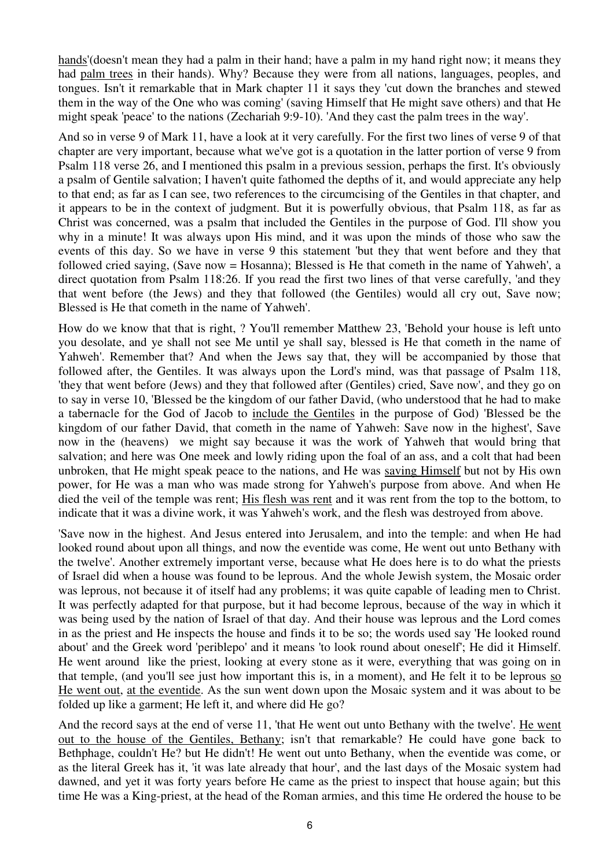hands'(doesn't mean they had a palm in their hand; have a palm in my hand right now; it means they had palm trees in their hands). Why? Because they were from all nations, languages, peoples, and tongues. Isn't it remarkable that in Mark chapter 11 it says they 'cut down the branches and stewed them in the way of the One who was coming' (saving Himself that He might save others) and that He might speak 'peace' to the nations (Zechariah 9:9-10). 'And they cast the palm trees in the way'.

And so in verse 9 of Mark 11, have a look at it very carefully. For the first two lines of verse 9 of that chapter are very important, because what we've got is a quotation in the latter portion of verse 9 from Psalm 118 verse 26, and I mentioned this psalm in a previous session, perhaps the first. It's obviously a psalm of Gentile salvation; I haven't quite fathomed the depths of it, and would appreciate any help to that end; as far as I can see, two references to the circumcising of the Gentiles in that chapter, and it appears to be in the context of judgment. But it is powerfully obvious, that Psalm 118, as far as Christ was concerned, was a psalm that included the Gentiles in the purpose of God. I'll show you why in a minute! It was always upon His mind, and it was upon the minds of those who saw the events of this day. So we have in verse 9 this statement 'but they that went before and they that followed cried saying, (Save now = Hosanna); Blessed is He that cometh in the name of Yahweh', a direct quotation from Psalm 118:26. If you read the first two lines of that verse carefully, 'and they that went before (the Jews) and they that followed (the Gentiles) would all cry out, Save now; Blessed is He that cometh in the name of Yahweh'.

How do we know that that is right, ? You'll remember Matthew 23, 'Behold your house is left unto you desolate, and ye shall not see Me until ye shall say, blessed is He that cometh in the name of Yahweh'. Remember that? And when the Jews say that, they will be accompanied by those that followed after, the Gentiles. It was always upon the Lord's mind, was that passage of Psalm 118, 'they that went before (Jews) and they that followed after (Gentiles) cried, Save now', and they go on to say in verse 10, 'Blessed be the kingdom of our father David, (who understood that he had to make a tabernacle for the God of Jacob to include the Gentiles in the purpose of God) 'Blessed be the kingdom of our father David, that cometh in the name of Yahweh: Save now in the highest', Save now in the (heavens) we might say because it was the work of Yahweh that would bring that salvation; and here was One meek and lowly riding upon the foal of an ass, and a colt that had been unbroken, that He might speak peace to the nations, and He was saving Himself but not by His own power, for He was a man who was made strong for Yahweh's purpose from above. And when He died the veil of the temple was rent; His flesh was rent and it was rent from the top to the bottom, to indicate that it was a divine work, it was Yahweh's work, and the flesh was destroyed from above.

'Save now in the highest. And Jesus entered into Jerusalem, and into the temple: and when He had looked round about upon all things, and now the eventide was come, He went out unto Bethany with the twelve'. Another extremely important verse, because what He does here is to do what the priests of Israel did when a house was found to be leprous. And the whole Jewish system, the Mosaic order was leprous, not because it of itself had any problems; it was quite capable of leading men to Christ. It was perfectly adapted for that purpose, but it had become leprous, because of the way in which it was being used by the nation of Israel of that day. And their house was leprous and the Lord comes in as the priest and He inspects the house and finds it to be so; the words used say 'He looked round about' and the Greek word 'periblepo' and it means 'to look round about oneself'; He did it Himself. He went around like the priest, looking at every stone as it were, everything that was going on in that temple, (and you'll see just how important this is, in a moment), and He felt it to be leprous so He went out, at the eventide. As the sun went down upon the Mosaic system and it was about to be folded up like a garment; He left it, and where did He go?

And the record says at the end of verse 11, 'that He went out unto Bethany with the twelve'. He went out to the house of the Gentiles, Bethany; isn't that remarkable? He could have gone back to Bethphage, couldn't He? but He didn't! He went out unto Bethany, when the eventide was come, or as the literal Greek has it, 'it was late already that hour', and the last days of the Mosaic system had dawned, and yet it was forty years before He came as the priest to inspect that house again; but this time He was a King-priest, at the head of the Roman armies, and this time He ordered the house to be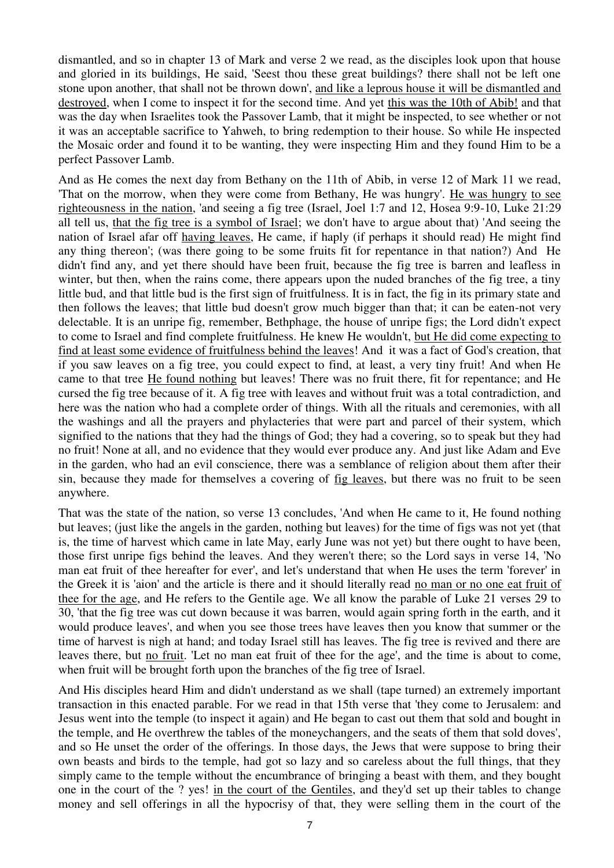dismantled, and so in chapter 13 of Mark and verse 2 we read, as the disciples look upon that house and gloried in its buildings, He said, 'Seest thou these great buildings? there shall not be left one stone upon another, that shall not be thrown down', and like a leprous house it will be dismantled and destroyed, when I come to inspect it for the second time. And yet this was the 10th of Abib! and that was the day when Israelites took the Passover Lamb, that it might be inspected, to see whether or not it was an acceptable sacrifice to Yahweh, to bring redemption to their house. So while He inspected the Mosaic order and found it to be wanting, they were inspecting Him and they found Him to be a perfect Passover Lamb.

And as He comes the next day from Bethany on the 11th of Abib, in verse 12 of Mark 11 we read, 'That on the morrow, when they were come from Bethany, He was hungry'. He was hungry to see righteousness in the nation, 'and seeing a fig tree (Israel, Joel 1:7 and 12, Hosea 9:9-10, Luke 21:29 all tell us, that the fig tree is a symbol of Israel; we don't have to argue about that) 'And seeing the nation of Israel afar off having leaves, He came, if haply (if perhaps it should read) He might find any thing thereon'; (was there going to be some fruits fit for repentance in that nation?) And He didn't find any, and yet there should have been fruit, because the fig tree is barren and leafless in winter, but then, when the rains come, there appears upon the nuded branches of the fig tree, a tiny little bud, and that little bud is the first sign of fruitfulness. It is in fact, the fig in its primary state and then follows the leaves; that little bud doesn't grow much bigger than that; it can be eaten-not very delectable. It is an unripe fig, remember, Bethphage, the house of unripe figs; the Lord didn't expect to come to Israel and find complete fruitfulness. He knew He wouldn't, but He did come expecting to find at least some evidence of fruitfulness behind the leaves! And it was a fact of God's creation, that if you saw leaves on a fig tree, you could expect to find, at least, a very tiny fruit! And when He came to that tree He found nothing but leaves! There was no fruit there, fit for repentance; and He cursed the fig tree because of it. A fig tree with leaves and without fruit was a total contradiction, and here was the nation who had a complete order of things. With all the rituals and ceremonies, with all the washings and all the prayers and phylacteries that were part and parcel of their system, which signified to the nations that they had the things of God; they had a covering, so to speak but they had no fruit! None at all, and no evidence that they would ever produce any. And just like Adam and Eve in the garden, who had an evil conscience, there was a semblance of religion about them after their sin, because they made for themselves a covering of fig leaves, but there was no fruit to be seen anywhere.

That was the state of the nation, so verse 13 concludes, 'And when He came to it, He found nothing but leaves; (just like the angels in the garden, nothing but leaves) for the time of figs was not yet (that is, the time of harvest which came in late May, early June was not yet) but there ought to have been, those first unripe figs behind the leaves. And they weren't there; so the Lord says in verse 14, 'No man eat fruit of thee hereafter for ever', and let's understand that when He uses the term 'forever' in the Greek it is 'aion' and the article is there and it should literally read no man or no one eat fruit of thee for the age, and He refers to the Gentile age. We all know the parable of Luke 21 verses 29 to 30, 'that the fig tree was cut down because it was barren, would again spring forth in the earth, and it would produce leaves', and when you see those trees have leaves then you know that summer or the time of harvest is nigh at hand; and today Israel still has leaves. The fig tree is revived and there are leaves there, but no fruit. 'Let no man eat fruit of thee for the age', and the time is about to come, when fruit will be brought forth upon the branches of the fig tree of Israel.

And His disciples heard Him and didn't understand as we shall (tape turned) an extremely important transaction in this enacted parable. For we read in that 15th verse that 'they come to Jerusalem: and Jesus went into the temple (to inspect it again) and He began to cast out them that sold and bought in the temple, and He overthrew the tables of the moneychangers, and the seats of them that sold doves', and so He unset the order of the offerings. In those days, the Jews that were suppose to bring their own beasts and birds to the temple, had got so lazy and so careless about the full things, that they simply came to the temple without the encumbrance of bringing a beast with them, and they bought one in the court of the ? yes! in the court of the Gentiles, and they'd set up their tables to change money and sell offerings in all the hypocrisy of that, they were selling them in the court of the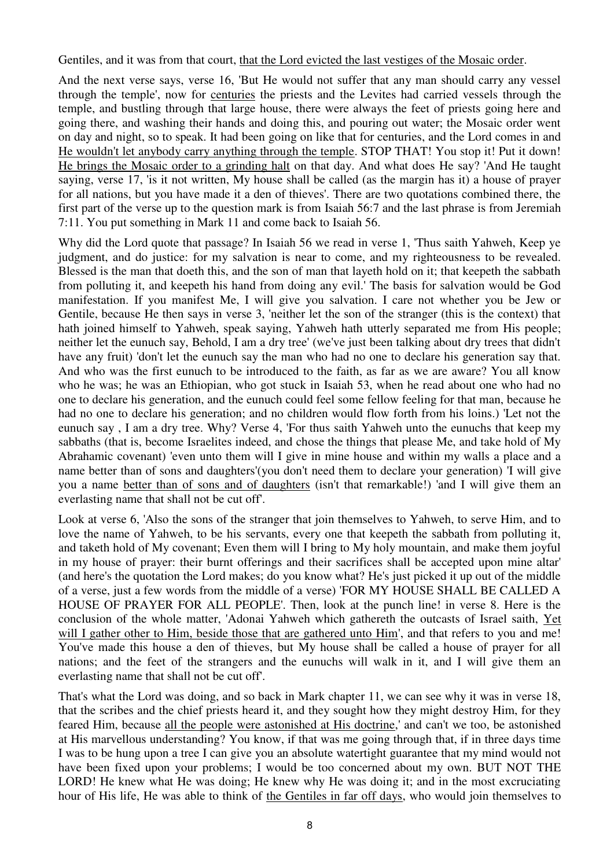Gentiles, and it was from that court, that the Lord evicted the last vestiges of the Mosaic order.

And the next verse says, verse 16, 'But He would not suffer that any man should carry any vessel through the temple', now for centuries the priests and the Levites had carried vessels through the temple, and bustling through that large house, there were always the feet of priests going here and going there, and washing their hands and doing this, and pouring out water; the Mosaic order went on day and night, so to speak. It had been going on like that for centuries, and the Lord comes in and He wouldn't let anybody carry anything through the temple. STOP THAT! You stop it! Put it down! He brings the Mosaic order to a grinding halt on that day. And what does He say? 'And He taught saying, verse 17, 'is it not written, My house shall be called (as the margin has it) a house of prayer for all nations, but you have made it a den of thieves'. There are two quotations combined there, the first part of the verse up to the question mark is from Isaiah 56:7 and the last phrase is from Jeremiah 7:11. You put something in Mark 11 and come back to Isaiah 56.

Why did the Lord quote that passage? In Isaiah 56 we read in verse 1, 'Thus saith Yahweh, Keep ye judgment, and do justice: for my salvation is near to come, and my righteousness to be revealed. Blessed is the man that doeth this, and the son of man that layeth hold on it; that keepeth the sabbath from polluting it, and keepeth his hand from doing any evil.' The basis for salvation would be God manifestation. If you manifest Me, I will give you salvation. I care not whether you be Jew or Gentile, because He then says in verse 3, 'neither let the son of the stranger (this is the context) that hath joined himself to Yahweh, speak saying, Yahweh hath utterly separated me from His people; neither let the eunuch say, Behold, I am a dry tree' (we've just been talking about dry trees that didn't have any fruit) 'don't let the eunuch say the man who had no one to declare his generation say that. And who was the first eunuch to be introduced to the faith, as far as we are aware? You all know who he was; he was an Ethiopian, who got stuck in Isaiah 53, when he read about one who had no one to declare his generation, and the eunuch could feel some fellow feeling for that man, because he had no one to declare his generation; and no children would flow forth from his loins.) 'Let not the eunuch say , I am a dry tree. Why? Verse 4, 'For thus saith Yahweh unto the eunuchs that keep my sabbaths (that is, become Israelites indeed, and chose the things that please Me, and take hold of My Abrahamic covenant) 'even unto them will I give in mine house and within my walls a place and a name better than of sons and daughters'(you don't need them to declare your generation) 'I will give you a name better than of sons and of daughters (isn't that remarkable!) 'and I will give them an everlasting name that shall not be cut off'.

Look at verse 6, 'Also the sons of the stranger that join themselves to Yahweh, to serve Him, and to love the name of Yahweh, to be his servants, every one that keepeth the sabbath from polluting it, and taketh hold of My covenant; Even them will I bring to My holy mountain, and make them joyful in my house of prayer: their burnt offerings and their sacrifices shall be accepted upon mine altar' (and here's the quotation the Lord makes; do you know what? He's just picked it up out of the middle of a verse, just a few words from the middle of a verse) 'FOR MY HOUSE SHALL BE CALLED A HOUSE OF PRAYER FOR ALL PEOPLE'. Then, look at the punch line! in verse 8. Here is the conclusion of the whole matter, 'Adonai Yahweh which gathereth the outcasts of Israel saith, Yet will I gather other to Him, beside those that are gathered unto Him', and that refers to you and me! You've made this house a den of thieves, but My house shall be called a house of prayer for all nations; and the feet of the strangers and the eunuchs will walk in it, and I will give them an everlasting name that shall not be cut off'.

That's what the Lord was doing, and so back in Mark chapter 11, we can see why it was in verse 18, that the scribes and the chief priests heard it, and they sought how they might destroy Him, for they feared Him, because all the people were astonished at His doctrine,' and can't we too, be astonished at His marvellous understanding? You know, if that was me going through that, if in three days time I was to be hung upon a tree I can give you an absolute watertight guarantee that my mind would not have been fixed upon your problems; I would be too concerned about my own. BUT NOT THE LORD! He knew what He was doing; He knew why He was doing it; and in the most excruciating hour of His life, He was able to think of the Gentiles in far off days, who would join themselves to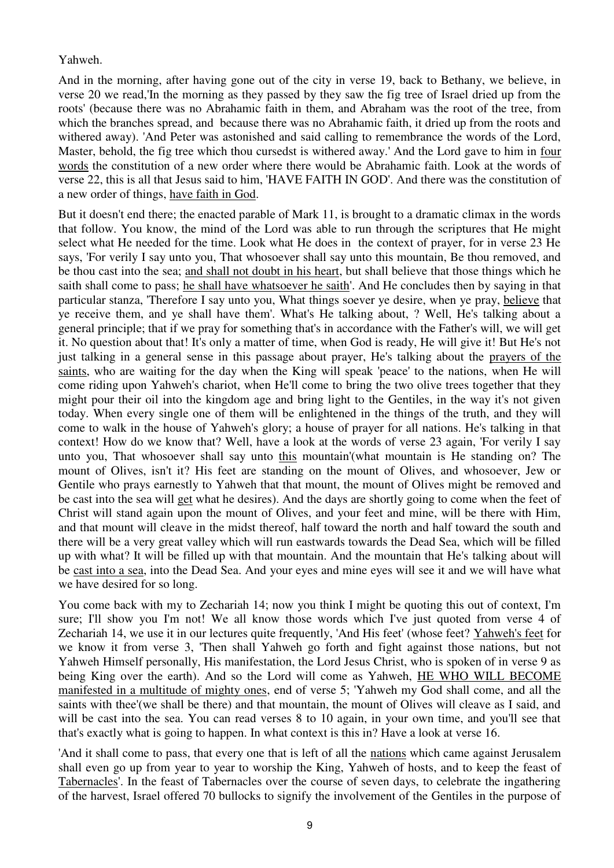## Yahweh.

And in the morning, after having gone out of the city in verse 19, back to Bethany, we believe, in verse 20 we read,'In the morning as they passed by they saw the fig tree of Israel dried up from the roots' (because there was no Abrahamic faith in them, and Abraham was the root of the tree, from which the branches spread, and because there was no Abrahamic faith, it dried up from the roots and withered away). 'And Peter was astonished and said calling to remembrance the words of the Lord, Master, behold, the fig tree which thou cursedst is withered away.' And the Lord gave to him in four words the constitution of a new order where there would be Abrahamic faith. Look at the words of verse 22, this is all that Jesus said to him, 'HAVE FAITH IN GOD'. And there was the constitution of a new order of things, have faith in God.

But it doesn't end there; the enacted parable of Mark 11, is brought to a dramatic climax in the words that follow. You know, the mind of the Lord was able to run through the scriptures that He might select what He needed for the time. Look what He does in the context of prayer, for in verse 23 He says, 'For verily I say unto you, That whosoever shall say unto this mountain, Be thou removed, and be thou cast into the sea; and shall not doubt in his heart, but shall believe that those things which he saith shall come to pass; he shall have whatsoever he saith'. And He concludes then by saying in that particular stanza, 'Therefore I say unto you, What things soever ye desire, when ye pray, believe that ye receive them, and ye shall have them'. What's He talking about, ? Well, He's talking about a general principle; that if we pray for something that's in accordance with the Father's will, we will get it. No question about that! It's only a matter of time, when God is ready, He will give it! But He's not just talking in a general sense in this passage about prayer, He's talking about the prayers of the saints, who are waiting for the day when the King will speak 'peace' to the nations, when He will come riding upon Yahweh's chariot, when He'll come to bring the two olive trees together that they might pour their oil into the kingdom age and bring light to the Gentiles, in the way it's not given today. When every single one of them will be enlightened in the things of the truth, and they will come to walk in the house of Yahweh's glory; a house of prayer for all nations. He's talking in that context! How do we know that? Well, have a look at the words of verse 23 again, 'For verily I say unto you, That whosoever shall say unto this mountain'(what mountain is He standing on? The mount of Olives, isn't it? His feet are standing on the mount of Olives, and whosoever, Jew or Gentile who prays earnestly to Yahweh that that mount, the mount of Olives might be removed and be cast into the sea will get what he desires). And the days are shortly going to come when the feet of Christ will stand again upon the mount of Olives, and your feet and mine, will be there with Him, and that mount will cleave in the midst thereof, half toward the north and half toward the south and there will be a very great valley which will run eastwards towards the Dead Sea, which will be filled up with what? It will be filled up with that mountain. And the mountain that He's talking about will be cast into a sea, into the Dead Sea. And your eyes and mine eyes will see it and we will have what we have desired for so long.

You come back with my to Zechariah 14; now you think I might be quoting this out of context, I'm sure; I'll show you I'm not! We all know those words which I've just quoted from verse 4 of Zechariah 14, we use it in our lectures quite frequently, 'And His feet' (whose feet? Yahweh's feet for we know it from verse 3, 'Then shall Yahweh go forth and fight against those nations, but not Yahweh Himself personally, His manifestation, the Lord Jesus Christ, who is spoken of in verse 9 as being King over the earth). And so the Lord will come as Yahweh, HE WHO WILL BECOME manifested in a multitude of mighty ones, end of verse 5; 'Yahweh my God shall come, and all the saints with thee'(we shall be there) and that mountain, the mount of Olives will cleave as I said, and will be cast into the sea. You can read verses 8 to 10 again, in your own time, and you'll see that that's exactly what is going to happen. In what context is this in? Have a look at verse 16.

'And it shall come to pass, that every one that is left of all the nations which came against Jerusalem shall even go up from year to year to worship the King, Yahweh of hosts, and to keep the feast of Tabernacles'. In the feast of Tabernacles over the course of seven days, to celebrate the ingathering of the harvest, Israel offered 70 bullocks to signify the involvement of the Gentiles in the purpose of